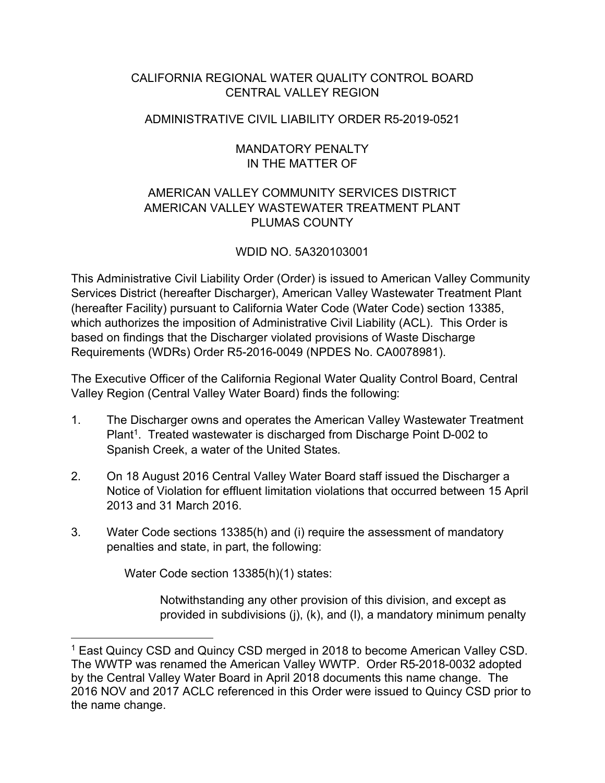## CALIFORNIA REGIONAL WATER QUALITY CONTROL BOARD CENTRAL VALLEY REGION

## ADMINISTRATIVE CIVIL LIABILITY ORDER R5-2019-0521

## MANDATORY PENALTY IN THE MATTER OF

## AMERICAN VALLEY COMMUNITY SERVICES DISTRICT AMERICAN VALLEY WASTEWATER TREATMENT PLANT PLUMAS COUNTY

# WDID NO. 5A320103001

This Administrative Civil Liability Order (Order) is issued to American Valley Community Services District (hereafter Discharger), American Valley Wastewater Treatment Plant (hereafter Facility) pursuant to California Water Code (Water Code) section 13385, which authorizes the imposition of Administrative Civil Liability (ACL). This Order is based on findings that the Discharger violated provisions of Waste Discharge Requirements (WDRs) Order R5-2016-0049 (NPDES No. CA0078981).

The Executive Officer of the California Regional Water Quality Control Board, Central Valley Region (Central Valley Water Board) finds the following:

- 1. The Discharger owns and operates the American Valley Wastewater Treatment Plant<sup>[1](#page-0-0)</sup>. Treated wastewater is discharged from Discharge Point D-002 to Spanish Creek, a water of the United States.
- 2. On 18 August 2016 Central Valley Water Board staff issued the Discharger a Notice of Violation for effluent limitation violations that occurred between 15 April 2013 and 31 March 2016.
- 3. Water Code sections 13385(h) and (i) require the assessment of mandatory penalties and state, in part, the following:

Water Code section 13385(h)(1) states:

Notwithstanding any other provision of this division, and except as provided in subdivisions (j), (k), and (l), a mandatory minimum penalty

<span id="page-0-0"></span><sup>&</sup>lt;sup>1</sup> East Quincy CSD and Quincy CSD merged in 2018 to become American Valley CSD. The WWTP was renamed the American Valley WWTP. Order R5-2018-0032 adopted by the Central Valley Water Board in April 2018 documents this name change. The 2016 NOV and 2017 ACLC referenced in this Order were issued to Quincy CSD prior to the name change.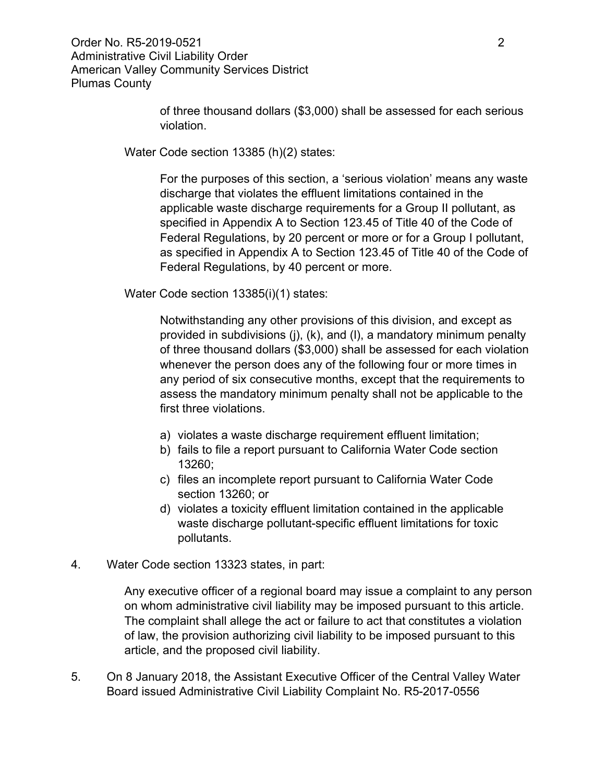Order No. R5-2019-0521 2 Administrative Civil Liability Order American Valley Community Services District Plumas County

> of three thousand dollars (\$3,000) shall be assessed for each serious violation.

Water Code section 13385 (h)(2) states:

For the purposes of this section, a 'serious violation' means any waste discharge that violates the effluent limitations contained in the applicable waste discharge requirements for a Group II pollutant, as specified in Appendix A to Section 123.45 of Title 40 of the Code of Federal Regulations, by 20 percent or more or for a Group I pollutant, as specified in Appendix A to Section 123.45 of Title 40 of the Code of Federal Regulations, by 40 percent or more.

Water Code section 13385(i)(1) states:

Notwithstanding any other provisions of this division, and except as provided in subdivisions (j), (k), and (l), a mandatory minimum penalty of three thousand dollars (\$3,000) shall be assessed for each violation whenever the person does any of the following four or more times in any period of six consecutive months, except that the requirements to assess the mandatory minimum penalty shall not be applicable to the first three violations.

- a) violates a waste discharge requirement effluent limitation;
- b) fails to file a report pursuant to California Water Code section 13260;
- c) files an incomplete report pursuant to California Water Code section 13260; or
- d) violates a toxicity effluent limitation contained in the applicable waste discharge pollutant-specific effluent limitations for toxic pollutants.
- 4. Water Code section 13323 states, in part:

Any executive officer of a regional board may issue a complaint to any person on whom administrative civil liability may be imposed pursuant to this article. The complaint shall allege the act or failure to act that constitutes a violation of law, the provision authorizing civil liability to be imposed pursuant to this article, and the proposed civil liability.

5. On 8 January 2018, the Assistant Executive Officer of the Central Valley Water Board issued Administrative Civil Liability Complaint No. R5-2017-0556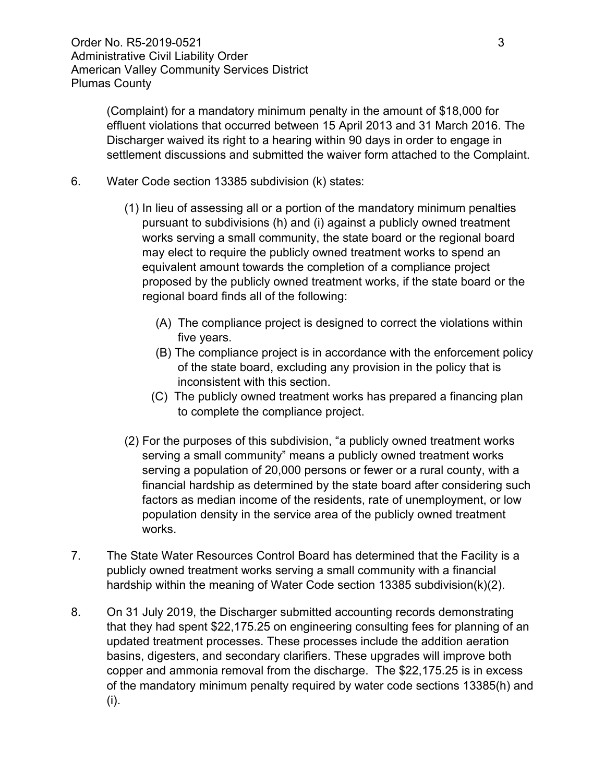(Complaint) for a mandatory minimum penalty in the amount of \$18,000 for effluent violations that occurred between 15 April 2013 and 31 March 2016. The Discharger waived its right to a hearing within 90 days in order to engage in settlement discussions and submitted the waiver form attached to the Complaint.

- 6. Water Code section 13385 subdivision (k) states:
	- (1) In lieu of assessing all or a portion of the mandatory minimum penalties pursuant to subdivisions (h) and (i) against a publicly owned treatment works serving a small community, the state board or the regional board may elect to require the publicly owned treatment works to spend an equivalent amount towards the completion of a compliance project proposed by the publicly owned treatment works, if the state board or the regional board finds all of the following:
		- (A) The compliance project is designed to correct the violations within five years.
		- (B) The compliance project is in accordance with the enforcement policy of the state board, excluding any provision in the policy that is inconsistent with this section.
		- (C) The publicly owned treatment works has prepared a financing plan to complete the compliance project.
	- (2) For the purposes of this subdivision, "a publicly owned treatment works serving a small community" means a publicly owned treatment works serving a population of 20,000 persons or fewer or a rural county, with a financial hardship as determined by the state board after considering such factors as median income of the residents, rate of unemployment, or low population density in the service area of the publicly owned treatment works.
- 7. The State Water Resources Control Board has determined that the Facility is a publicly owned treatment works serving a small community with a financial hardship within the meaning of Water Code section 13385 subdivision(k)(2).
- 8. On 31 July 2019, the Discharger submitted accounting records demonstrating that they had spent \$22,175.25 on engineering consulting fees for planning of an updated treatment processes. These processes include the addition aeration basins, digesters, and secondary clarifiers. These upgrades will improve both copper and ammonia removal from the discharge. The \$22,175.25 is in excess of the mandatory minimum penalty required by water code sections 13385(h) and (i).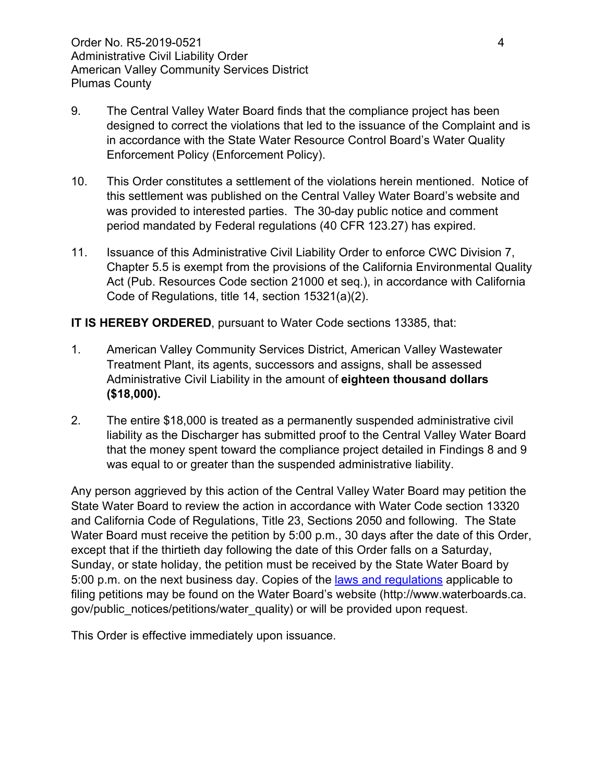- 9. The Central Valley Water Board finds that the compliance project has been designed to correct the violations that led to the issuance of the Complaint and is in accordance with the State Water Resource Control Board's Water Quality Enforcement Policy (Enforcement Policy).
- 10. This Order constitutes a settlement of the violations herein mentioned. Notice of this settlement was published on the Central Valley Water Board's website and was provided to interested parties. The 30-day public notice and comment period mandated by Federal regulations (40 CFR 123.27) has expired.
- 11. Issuance of this Administrative Civil Liability Order to enforce CWC Division 7, Chapter 5.5 is exempt from the provisions of the California Environmental Quality Act (Pub. Resources Code section 21000 et seq.), in accordance with California Code of Regulations, title 14, section 15321(a)(2).

#### **IT IS HEREBY ORDERED**, pursuant to Water Code sections 13385, that:

- 1. American Valley Community Services District, American Valley Wastewater Treatment Plant, its agents, successors and assigns, shall be assessed Administrative Civil Liability in the amount of **eighteen thousand dollars (\$18,000).**
- 2. The entire \$18,000 is treated as a permanently suspended administrative civil liability as the Discharger has submitted proof to the Central Valley Water Board that the money spent toward the compliance project detailed in Findings 8 and 9 was equal to or greater than the suspended administrative liability.

Any person aggrieved by this action of the Central Valley Water Board may petition the State Water Board to review the action in accordance with Water Code section 13320 and California Code of Regulations, Title 23, Sections 2050 and following. The State Water Board must receive the petition by 5:00 p.m., 30 days after the date of this Order, except that if the thirtieth day following the date of this Order falls on a Saturday, Sunday, or state holiday, the petition must be received by the State Water Board by 5:00 p.m. on the next business day. Copies of the laws [and regulations](http://www.waterboards.ca.gov/public_notices/petitions/water_quality) applicable to filing petitions may be found on the Water Board's website (http://www.waterboards.ca. gov/public\_notices/petitions/water\_quality) or will be provided upon request.

This Order is effective immediately upon issuance.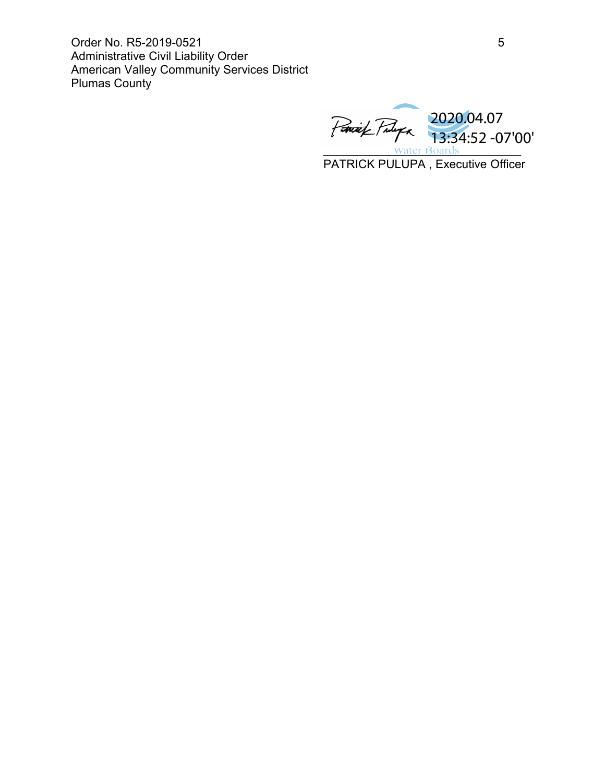Order No. R5-2019-0521 5 Administrative Civil Liability Order American Valley Community Services District Plumas County

water Boards PATRICK PULUPA , Executive Officer 2020.04.07 13:34:52 -07'00'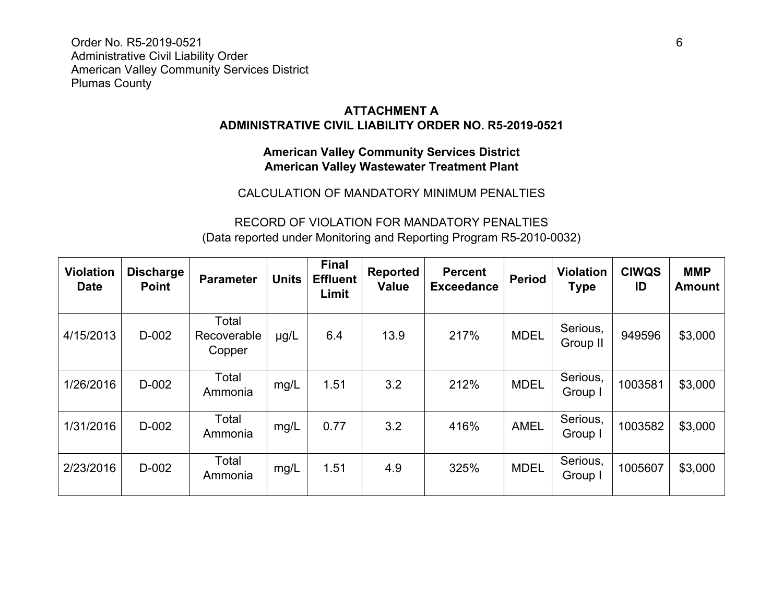Order No. R5-2019-0521 6 Administrative Civil Liability Order American Valley Community Services District Plumas County

## **ATTACHMENT A ADMINISTRATIVE CIVIL LIABILITY ORDER NO. R5-2019-0521**

## **American Valley Community Services District American Valley Wastewater Treatment Plant**

### CALCULATION OF MANDATORY MINIMUM PENALTIES

# RECORD OF VIOLATION FOR MANDATORY PENALTIES (Data reported under Monitoring and Reporting Program R5-2010-0032)

| <b>Violation</b><br><b>Date</b> | <b>Discharge</b><br><b>Point</b> | <b>Parameter</b>               | <b>Units</b> | <b>Final</b><br><b>Effluent</b><br>Limit | <b>Reported</b><br><b>Value</b> | <b>Percent</b><br><b>Exceedance</b> | <b>Period</b> | <b>Violation</b><br><b>Type</b> | <b>CIWQS</b><br>ID | <b>MMP</b><br>Amount |
|---------------------------------|----------------------------------|--------------------------------|--------------|------------------------------------------|---------------------------------|-------------------------------------|---------------|---------------------------------|--------------------|----------------------|
| 4/15/2013                       | D-002                            | Total<br>Recoverable<br>Copper | $\mu$ g/L    | 6.4                                      | 13.9                            | 217%                                | <b>MDEL</b>   | Serious,<br>Group II            | 949596             | \$3,000              |
| 1/26/2016                       | D-002                            | Total<br>Ammonia               | mg/L         | 1.51                                     | 3.2                             | 212%                                | <b>MDEL</b>   | Serious,<br>Group I             | 1003581            | \$3,000              |
| 1/31/2016                       | D-002                            | Total<br>Ammonia               | mg/L         | 0.77                                     | 3.2                             | 416%                                | <b>AMEL</b>   | Serious,<br>Group I             | 1003582            | \$3,000              |
| 2/23/2016                       | D-002                            | Total<br>Ammonia               | mg/L         | 1.51                                     | 4.9                             | 325%                                | <b>MDEL</b>   | Serious,<br>Group I             | 1005607            | \$3,000              |